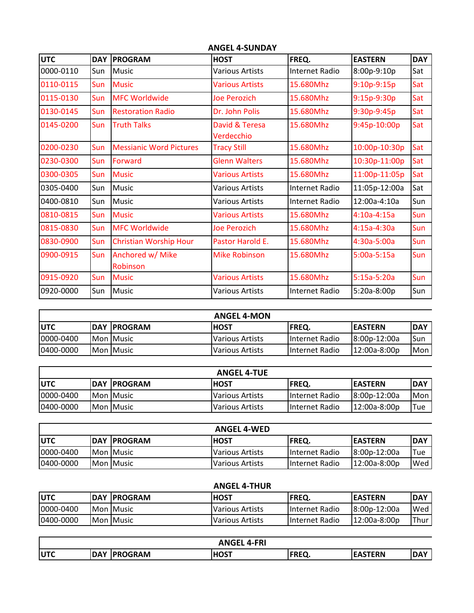| <b>ANGEL 4-SUNDAY</b> |            |                                |                              |                |                |            |  |  |
|-----------------------|------------|--------------------------------|------------------------------|----------------|----------------|------------|--|--|
| UTC                   | <b>DAY</b> | <b>PROGRAM</b>                 | <b>HOST</b>                  | FREQ.          | <b>EASTERN</b> | <b>DAY</b> |  |  |
| 0000-0110             | Sun        | <b>Music</b>                   | <b>Various Artists</b>       | Internet Radio | 8:00p-9:10p    | Sat        |  |  |
| 0110-0115             | Sun        | <b>Music</b>                   | <b>Various Artists</b>       | 15.680Mhz      | $9:10p-9:15p$  | Sat        |  |  |
| 0115-0130             | Sun        | <b>MFC Worldwide</b>           | Joe Perozich                 | 15.680Mhz      | 9:15p-9:30p    | Sat        |  |  |
| 0130-0145             | Sun        | <b>Restoration Radio</b>       | Dr. John Polis               | 15.680Mhz      | 9:30p-9:45p    | Sat        |  |  |
| 0145-0200             | <b>Sun</b> | <b>Truth Talks</b>             | David & Teresa<br>Verdecchio | 15.680Mhz      | 9:45p-10:00p   | Sat        |  |  |
| 0200-0230             | Sun        | <b>Messianic Word Pictures</b> | <b>Tracy Still</b>           | 15.680Mhz      | 10:00p-10:30p  | Sat        |  |  |
| 0230-0300             | Sun        | Forward                        | <b>Glenn Walters</b>         | 15.680Mhz      | 10:30p-11:00p  | Sat        |  |  |
| 0300-0305             | Sun        | <b>Music</b>                   | <b>Various Artists</b>       | 15.680Mhz      | 11:00p-11:05p  | Sat        |  |  |
| 0305-0400             | Sun        | <b>Music</b>                   | <b>Various Artists</b>       | Internet Radio | 11:05p-12:00a  | Sat        |  |  |
| 0400-0810             | Sun        | <b>Music</b>                   | <b>Various Artists</b>       | Internet Radio | $12:00a-4:10a$ | Sun        |  |  |
| 0810-0815             | Sun        | <b>Music</b>                   | <b>Various Artists</b>       | 15.680Mhz      | 4:10a-4:15a    | Sun        |  |  |
| 0815-0830             | Sun        | <b>MFC Worldwide</b>           | Joe Perozich                 | 15.680Mhz      | 4:15a-4:30a    | Sun        |  |  |
| 0830-0900             | Sun        | <b>Christian Worship Hour</b>  | Pastor Harold E.             | 15.680Mhz      | 4:30a-5:00a    | Sun        |  |  |
| 0900-0915             | <b>Sun</b> | Anchored w/ Mike<br>Robinson   | <b>Mike Robinson</b>         | 15.680Mhz      | $5:00a-5:15a$  | Sun        |  |  |
| 0915-0920             | Sun        | <b>Music</b>                   | <b>Various Artists</b>       | 15.680Mhz      | $5:15a-5:20a$  | Sun        |  |  |
| 0920-0000             | Sun        | <b>Music</b>                   | <b>Various Artists</b>       | Internet Radio | 5:20a-8:00p    | Sun        |  |  |

| <b>ANGEL 4-MON</b> |  |                      |                   |                       |                 |             |
|--------------------|--|----------------------|-------------------|-----------------------|-----------------|-------------|
| lutc               |  | <b>IDAY IPROGRAM</b> | <b>HOST</b>       | IFREQ.                | <b>IEASTERN</b> | <b>IDAY</b> |
| 0000-0400          |  | <b>IMon IMusic</b>   | l Various Artists | <b>Internet Radio</b> | 18:00p-12:00a   | ISun        |
| 0400-0000          |  | <b>Mon Music</b>     | Various Artists   | <b>Internet Radio</b> | 12:00a-8:00p    | lMon.       |

| <b>ANGEL 4-TUE</b> |  |                      |                        |                |                 |       |
|--------------------|--|----------------------|------------------------|----------------|-----------------|-------|
| <b>IUTC</b>        |  | <b>IDAY IPROGRAM</b> | <b>IHOST</b>           | IFREQ.         | <b>IEASTERN</b> | IDAY  |
| 0000-0400          |  | Mon Music            | <b>Various Artists</b> | Internet Radio | 8:00p-12:00a    | Mon I |
| 10400-0000         |  | Mon Music            | <b>Various Artists</b> | Internet Radio | 12:00a-8:00p    | Tue   |

|            |                      | <b>ANGEL 4-WED</b>     |                |                 |             |
|------------|----------------------|------------------------|----------------|-----------------|-------------|
| lutc       | <b>IDAY IPROGRAM</b> | <b>HOST</b>            | IFREQ.         | <b>IEASTERN</b> | <b>IDAY</b> |
| 10000-0400 | <b>Mon Music</b>     | <b>Various Artists</b> | Internet Radio | 8:00p-12:00a    | Tue         |
| 0400-0000  | <b>Mon Music</b>     | <b>Various Artists</b> | Internet Radio | 12:00a-8:00p    | Wed         |

## **ANGEL 4-THUR**

| <b>IUTC</b> | <b>IDAY IPROGRAM</b> | <b>HOST</b>            | FREQ.           | <b>IEASTERN</b> | <b>DAY</b> |
|-------------|----------------------|------------------------|-----------------|-----------------|------------|
| 0000-0400   | <b>Mon Music</b>     | <b>Various Artists</b> | IInternet Radio | 8:00p-12:00a    | Wed        |
| 0400-0000   | <b>Mon Music</b>     | Various Artists        | IInternet Radio | 12:00a-8:00p    | Thur       |

| <b>ANGEL</b><br>4-FRI |            |                 |             |           |                |            |  |
|-----------------------|------------|-----------------|-------------|-----------|----------------|------------|--|
| <b>IUTC</b>           | <b>DAY</b> | <b>IPROGRAM</b> | <b>HOST</b> | CDCC<br>. | <b>EASTERN</b> | <b>DAY</b> |  |